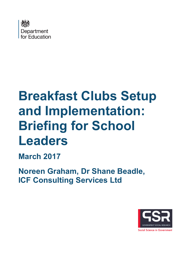

# **Breakfast Clubs Setup and Implementation: Briefing for School Leaders**

**March 2017**

<span id="page-0-0"></span>**Noreen Graham, Dr Shane Beadle, ICF Consulting Services Ltd**

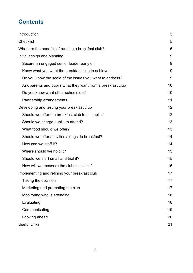# **Contents**

| Introduction                                                |    |
|-------------------------------------------------------------|----|
| <b>Checklist</b>                                            |    |
| What are the benefits of running a breakfast club?          | 6  |
| Initial design and planning                                 | 9  |
| Secure an engaged senior leader early on                    | 9  |
| Know what you want the breakfast club to achieve            | 9  |
| Do you know the scale of the issues you want to address?    | 9  |
| Ask parents and pupils what they want from a breakfast club | 10 |
| Do you know what other schools do?                          | 10 |
| Partnership arrangements                                    | 11 |
| Developing and testing your breakfast club                  |    |
| Should we offer the breakfast club to all pupils?           | 12 |
| Should we charge pupils to attend?                          | 13 |
| What food should we offer?                                  | 13 |
| Should we offer activities alongside breakfast?             | 14 |
| How can we staff it?                                        | 14 |
| Where should we hold it?                                    | 15 |
| Should we start small and trial it?                         | 15 |
| How will we measure the clubs success?                      | 16 |
| Implementing and refining your breakfast club               |    |
| Taking the decision                                         | 17 |
| Marketing and promoting the club                            | 17 |
| Monitoring who is attending                                 | 18 |
| Evaluating                                                  | 18 |
| Communicating                                               | 19 |
| Looking ahead                                               | 20 |
| <b>Useful Links</b>                                         | 21 |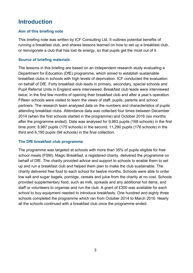# <span id="page-2-0"></span>**Introduction**

#### **Aim of this briefing note**

This briefing note was written by ICF Consulting Ltd. It outlines potential benefits of running a breakfast club, and shares lessons learned on how to set up a breakfast club, or reinvigorate a club that has lost its energy, so that pupils get the most out of it.

#### **Source of briefing materials**

The lessons in this briefing are based on an independent research study evaluating a Department for Education (DfE) programme, which aimed to establish sustainable breakfast clubs in schools with high levels of deprivation. ICF conducted the evaluation on behalf of DfE. Forty breakfast club leads in primary, secondary, special schools and Pupil Referral Units in England were interviewed. Breakfast club leads were interviewed twice; in the first few months of opening their breakfast club and after a year's operation. Fifteen schools were visited to learn the views of staff, pupils, parents and school partners. The research team analysed data on the numbers and characteristics of pupils attending breakfast clubs. Attendance data was collected four times between December 2014 (when the first schools started in the programme) and October 2016 (six months after the programme ended). Data was analysed for 9,983 pupils (168 schools) in the first time point; 9,987 pupils (175 schools) in the second; 11,290 pupils (176 schools) in the third and 6,190 pupils (94 schools) in the final collection.

#### **The DfE breakfast club programme**

The programme was targeted at schools with more than 35% of pupils eligible for free school meals (FSM). Magic Breakfast, a registered charity, delivered the programme on behalf of DfE. The charity provided advice and support to schools to enable them to set up and run a breakfast club and helped them plan to make the club sustainable. The charity delivered free food to each school for twelve months. Schools were able to order low salt and sugar bagels, porridge, cereals and juice from the charity at no cost. Schools provided supplementary food, such as milk, spreads and any additional hot items, and staff or volunteers to organise and run the club. A grant of £300 was available for each school to buy equipment needed to introduce breakfasts. One hundred and eighty three schools completed the programme which ran from October 2014 to March 2016. Nearly all the schools continued with a breakfast club once the programme ended.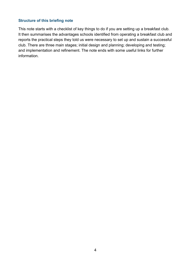#### **Structure of this briefing note**

This note starts with a checklist of key things to do if you are setting up a breakfast club. It then summarises the advantages schools identified from operating a breakfast club and reports the practical steps they told us were necessary to set up and sustain a successful club. There are three main stages; initial design and planning; developing and testing; and implementation and refinement. The note ends with some useful links for further information.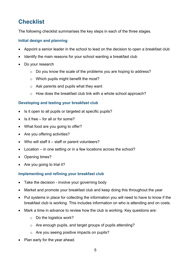# <span id="page-4-0"></span>**Checklist**

The following checklist summarises the key steps in each of the three stages.

#### **Initial design and planning**

- Appoint a senior leader in the school to lead on the decision to open a breakfast club
- Identify the main reasons for your school wanting a breakfast club
- Do your research
	- o Do you know the scale of the problems you are hoping to address?
	- o Which pupils might benefit the most?
	- $\circ$  Ask parents and pupils what they want
	- o How does the breakfast club link with a whole school approach?

#### **Developing and testing your breakfast club**

- Is it open to all pupils or targeted at specific pupils?
- Is it free for all or for some?
- What food are you going to offer?
- Are you offering activities?
- Who will staff it staff or parent volunteers?
- Location in one setting or in a few locations across the school?
- Opening times?
- Are you going to trial it?

#### **Implementing and refining your breakfast club**

- Take the decision involve your governing body
- Market and promote your breakfast club and keep doing this throughout the year
- Put systems in place for collecting the information you will need to have to know if the breakfast club is working. This includes information on who is attending and on costs.
- Mark a time in advance to review how the club is working. Key questions are:
	- o Do the logistics work?
	- o Are enough pupils, and target groups of pupils attending?
	- o Are you seeing positive impacts on pupils?
- Plan early for the year ahead.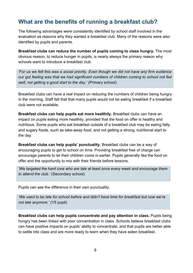# <span id="page-5-0"></span>**What are the benefits of running a breakfast club?**

The following advantages were consistently identified by school staff involved in the evaluation as reasons why they wanted a breakfast club. Many of the reasons were also identified by pupils and parents.

**Breakfast clubs can reduce the number of pupils coming to class hungry.** The most obvious reason, to reduce hunger in pupils, is nearly always the primary reason why schools want to introduce a breakfast club.

*'For us we felt this was a social priority. Even though we did not have any firm evidence our gut feeling was that we had significant numbers of children coming to school not fed well; not getting a good start to the day.'* (Primary school)

Breakfast clubs can have a real impact on reducing the numbers of children being hungry in the morning. Staff felt that that many pupils would not be eating breakfast if a breakfast club were not available.

**Breakfast clubs can help pupils eat more healthily.** Breakfast clubs can have an impact on pupils eating more healthily, provided that the food on offer is healthy and nutritious. Some pupils who eat breakfast outside of a breakfast club may be eating fatty and sugary foods, such as take-away food, and not getting a strong, nutritional start to the day.

**Breakfast clubs can help pupils' punctuality.** Breakfast clubs can be a way of encouraging pupils to get to school on time. Providing breakfast free of charge can encourage parents to let their children come in earlier. Pupils generally like the food on offer and the opportunity to mix with their friends before lessons.

*'We targeted the hard core who are late at least once every week and encourage them to attend the club.'* (Secondary school)

Pupils can see the difference in their own punctuality.

*'We used to be late for school before and didn't have time for breakfast but now we're not late anymore.'* (Y5 pupil)

**Breakfast clubs can help pupils concentrate and pay attention in class.** Pupils being hungry has been linked with poor concentration in class. Schools believe breakfast clubs can have positive impacts on pupils' ability to concentrate, and that pupils are better able to settle into class and are more ready to learn when they have eaten breakfast.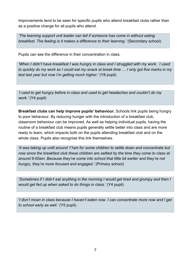Improvements tend to be seen for specific pupils who attend breakfast clubs rather than as a positive change for all pupils who attend.

*'The learning support unit leader can tell if someone has come in without eating breakfast. The feeling is it makes a difference to their learning.'* (Secondary school)

Pupils can see the difference in their concentration in class.

*'When I didn't have breakfast I was hungry in class and I struggled with my work. I used to quickly do my work so I could eat my snack at break time … I only got five marks in my test last year but now I'm getting much higher.'* (Y8 pupil)

*'I used to get hungry before in class and used to get headaches and couldn't do my work.'* (Y4 pupil)

**Breakfast clubs can help improve pupils' behaviour.** Schools link pupils being hungry to poor behaviour. By reducing hunger with the introduction of a breakfast club, classroom behaviour can be improved. As well as helping individual pupils, having the routine of a breakfast club means pupils generally settle better into class and are more ready to learn, which impacts both on the pupils attending breakfast club and on the whole class. Pupils also recognise this link themselves.

*'It was taking up until around 11am for some children to settle down and concentrate but now since the breakfast club these children are settled by the time they come to class at around 9:00am. Because they've come into school that little bit earlier and they're not hungry, they're more focused and engaged.'* (Primary school)

*'Sometimes if I didn't eat anything in the morning I would get tired and grumpy and then I would get fed up when asked to do things in class.'* (Y4 pupil)

*'I don't moan in class because I haven't eaten now. I can concentrate more now and I get to school early as well.'* (Y5 pupil).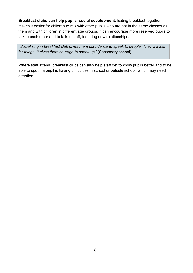**Breakfast clubs can help pupils' social development.** Eating breakfast together makes it easier for children to mix with other pupils who are not in the same classes as them and with children in different age groups. It can encourage more reserved pupils to talk to each other and to talk to staff, fostering new relationships.

*''Socialising in breakfast club gives them confidence to speak to people. They will ask for things, it gives them courage to speak up.'* (Secondary school)

Where staff attend, breakfast clubs can also help staff get to know pupils better and to be able to spot if a pupil is having difficulties in school or outside school, which may need attention.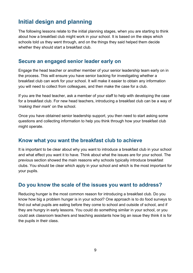# <span id="page-8-0"></span>**Initial design and planning**

The following lessons relate to the initial planning stages, when you are starting to think about how a breakfast club might work in your school. It is based on the steps which schools told us they went through, and on the things they said helped them decide whether they should start a breakfast club.

### <span id="page-8-1"></span>**Secure an engaged senior leader early on**

Engage the head teacher or another member of your senior leadership team early on in the process. This will ensure you have senior backing for investigating whether a breakfast club can work for your school. It will make it easier to obtain any information you will need to collect from colleagues, and then make the case for a club.

If you are the head teacher, ask a member of your staff to help with developing the case for a breakfast club. For new head teachers, introducing a breakfast club can be a way of *'making their mark*' on the school.

Once you have obtained senior leadership support, you then need to start asking some questions and collecting information to help you think through how your breakfast club might operate.

### <span id="page-8-2"></span>**Know what you want the breakfast club to achieve**

It is important to be clear about why you want to introduce a breakfast club in your school and what effect you want it to have. Think about what the issues are for your school. The previous section showed the main reasons why schools typically introduce breakfast clubs. You should be clear which apply in your school and which is the most important for your pupils.

### <span id="page-8-3"></span>**Do you know the scale of the issues you want to address?**

Reducing hunger is the most common reason for introducing a breakfast club. Do you know how big a problem hunger is in your school? One approach is to do food surveys to find out what pupils are eating before they come to school and outside of school, and if they are hungry in early lessons. You could do something similar in your school, or you could ask classroom teachers and teaching assistants how big an issue they think it is for the pupils in their class.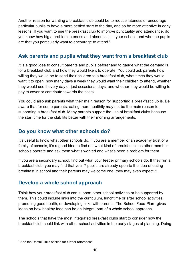Another reason for wanting a breakfast club could be to reduce lateness or encourage particular pupils to have a more settled start to the day, and so be more attentive in early lessons. If you want to use the breakfast club to improve punctuality and attendance, do you know how big a problem lateness and absence is in your school, and who the pupils are that you particularly want to encourage to attend?

# <span id="page-9-0"></span>**Ask parents and pupils what they want from a breakfast club**

It is a good idea to consult parents and pupils beforehand to gauge what the demand is for a breakfast club and how they would like it to operate. You could ask parents how willing they would be to send their children to a breakfast club, what times they would want it to open, how many days a week they would want their children to attend, whether they would use it every day or just occasional days; and whether they would be willing to pay to cover or contribute towards the costs.

You could also ask parents what their main reason for supporting a breakfast club is. Be aware that for some parents, eating more healthily may not be the main reason for supporting a breakfast club. Many parents support the use of breakfast clubs because the start time for the club fits better with their morning arrangements.

# <span id="page-9-1"></span>**Do you know what other schools do?**

It's useful to know what other schools do. If you are a member of an academy trust or a family of schools, it's a good idea to find out what kind of breakfast clubs other member schools operate and ask them what's worked and what's been a problem for them.

If you are a secondary school, find out what your feeder primary schools do. If they run a breakfast club, you may find that year 7 pupils are already open to the idea of eating breakfast in school and their parents may welcome one; they may even expect it.

# **Develop a whole school approach**

Think how your breakfast club can support other school activities or be supported by them. This could include links into the curriculum, lunchtime or after school activities, promoting good health, or developing links with parents. The [School Food Plan](#page-20-0)<sup>[1](#page-0-0)</sup> gives ideas on how healthy food can be an integral part of a whole school approach.

The schools that have the most integrated breakfast clubs start to consider how the breakfast club could link with other school activities in the early stages of planning. Doing

 $\overline{a}$ 

<span id="page-9-2"></span> $1$  See the Useful Links section for further references.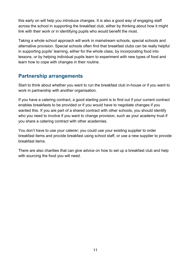this early on will help you introduce changes. It is also a good way of engaging staff across the school in supporting the breakfast club, either by thinking about how it might link with their work or in identifying pupils who would benefit the most.

Taking a whole school approach will work in mainstream schools, special schools and alternative provision. Special schools often find that breakfast clubs can be really helpful in supporting pupils' learning, either for the whole class, by incorporating food into lessons, or by helping individual pupils learn to experiment with new types of food and learn how to cope with changes in their routine.

## <span id="page-10-0"></span>**Partnership arrangements**

Start to think about whether you want to run the breakfast club in-house or if you want to work in partnership with another organisation.

If you have a catering contract, a good starting point is to find out if your current contract enables breakfasts to be provided or if you would have to negotiate changes if you wanted this. If you are part of a shared contract with other schools, you should identify who you need to involve if you want to change provision, such as your academy trust if you share a catering contract with other academies.

You don't have to use your caterer; you could use your existing supplier to order breakfast items and provide breakfast using school staff, or use a new supplier to provide breakfast items.

There are also charities that can give advice on how to set up a breakfast club and help with sourcing the food you will need.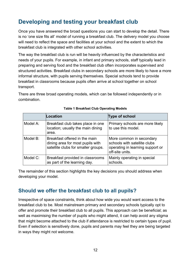# <span id="page-11-0"></span>**Developing and testing your breakfast club**

Once you have answered the broad questions you can start to develop the detail. There is no 'one size fits all' model of running a breakfast club. The delivery model you choose will need to reflect the space and facilities at your school and the extent to which the breakfast club is integrated with other school activities.

The way the breakfast club is run will be heavily influenced by the characteristics and needs of your pupils. For example, in infant and primary schools, staff typically lead in preparing and serving food and the breakfast club often incorporates supervised and structured activities. Breakfast clubs in secondary schools are more likely to have a more informal structure, with pupils serving themselves. Special schools tend to provide breakfast in classrooms because pupils often arrive at school together on school transport.

There are three broad operating models, which can be followed independently or in combination.

|          | Location                                                                                                 | <b>Type of school</b>                                                                                           |
|----------|----------------------------------------------------------------------------------------------------------|-----------------------------------------------------------------------------------------------------------------|
| Model A: | Breakfast club takes place in one<br>location; usually the main dining<br>area.                          | Primary schools are more likely<br>to use this model.                                                           |
| Model B: | Breakfast offered in the main<br>dining area for most pupils with<br>satellite clubs for smaller groups. | More common in secondary<br>schools with satellite clubs<br>operating in learning support or<br>off-site units. |
| Model C: | Breakfast provided in classrooms<br>as part of the learning day.                                         | Mainly operating in special<br>schools.                                                                         |

#### **Table 1 Breakfast Club Operating Models**

The remainder of this section highlights the key decisions you should address when developing your model.

## <span id="page-11-1"></span>**Should we offer the breakfast club to all pupils?**

Irrespective of space constraints, think about how wide you would want access to the breakfast club to be. Most mainstream primary and secondary schools typically opt to offer and promote their breakfast club to all pupils. This approach can be beneficial; as well as maximising the number of pupils who might attend, it can help avoid any stigma that might become attached to the club if attendance is restricted to certain types of pupil. Even if selection is sensitively done, pupils and parents may feel they are being targeted in ways they might not welcome.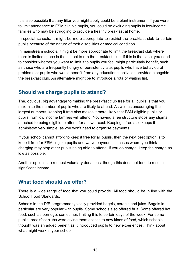It is also possible that any filter you might apply could be a blunt instrument. If you were to limit attendance to FSM eligible pupils, you could be excluding pupils in low-income families who may be struggling to provide a healthy breakfast at home.

In special schools, it might be more appropriate to restrict the breakfast club to certain pupils because of the nature of their disabilities or medical condition.

In mainstream schools, it might be more appropriate to limit the breakfast club where there is limited space in the school to run the breakfast club. If this is the case, you need to consider whether you want to limit it to pupils you feel might particularly benefit, such as those who are frequently hungry or persistently late, pupils who have behavioural problems or pupils who would benefit from any educational activities provided alongside the breakfast club. An alternative might be to introduce a rota or waiting list.

# <span id="page-12-0"></span>**Should we charge pupils to attend?**

The, obvious, big advantage to making the breakfast club free for all pupils is that you maximise the number of pupils who are likely to attend. As well as encouraging the largest numbers, keeping it free also makes it more likely that FSM eligible pupils or pupils from low income families will attend. Not having a fee structure stops any stigma attached to being eligible to attend for a lower cost. Keeping it free also keeps it administratively simple, as you won't need to organise payments.

If your school cannot afford to keep it free for all pupils, then the next best option is to keep it free for FSM eligible pupils and waive payments in cases where you think charging may stop other pupils being able to attend. If you do charge, keep the charge as low as possible.

Another option is to request voluntary donations, though this does not tend to result in significant income.

# <span id="page-12-1"></span>**What food should we offer?**

There is a wide range of food that you could provide. All food should be in line with the [School Food Standards.](#page-20-0)

Schools in the DfE programme typically provided bagels, cereals and juice. Bagels in particular are very popular with pupils. Some schools also offered fruit. Some offered hot food, such as porridge, sometimes limiting this to certain days of the week. For some pupils, breakfast clubs were giving them access to new kinds of food, which schools thought was an added benefit as it introduced pupils to new experiences. Think about what might work in your school.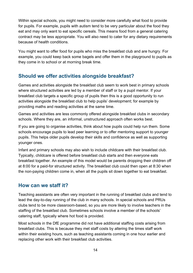Within special schools, you might need to consider more carefully what food to provide for pupils. For example, pupils with autism tend to be very particular about the food they eat and may only want to eat specific cereals. This means food from a general catering contract may be less appropriate. You will also need to cater for any dietary requirements because of health conditions.

You might want to offer food for pupils who miss the breakfast club and are hungry. For example, you could keep back some bagels and offer them in the playground to pupils as they come in to school or at morning break time.

# <span id="page-13-0"></span>**Should we offer activities alongside breakfast?**

Games and activities alongside the breakfast club seem to work best in primary schools where structured activities are led by a member of staff or by a pupil mentor. If your breakfast club targets a specific group of pupils then this is a good opportunity to run activities alongside the breakfast club to help pupils' development; for example by providing maths and reading activities at the same time.

Games and activities are less commonly offered alongside breakfast clubs in secondary schools. Where they are, an informal, unstructured approach often works best.

If you are going to organise activities, think about how pupils could help run them. Some schools encourage pupils to lead peer learning or to offer mentoring support to younger pupils. This helps older pupils develop their skills and confidence as well as supporting younger ones.

Infant and primary schools may also wish to include childcare with their breakfast club. Typically, childcare is offered before breakfast club starts and then everyone eats breakfast together. An example of this model would be parents dropping their children off at 8:00 for a paid-for structured activity. The breakfast club could then open at 8:30 when the non-paying children come in, when all the pupils sit down together to eat breakfast.

### <span id="page-13-1"></span>**How can we staff it?**

Teaching assistants are often very important in the running of breakfast clubs and tend to lead the day-to-day running of the club in many schools. In special schools and PRUs clubs tend to be more classroom-based, so you are more likely to involve teachers in the staffing of the breakfast club. Sometimes schools involve a member of the schools' catering staff, typically where hot food is provided.

Most schools in the DfE programme did not have additional staffing costs arising from breakfast clubs. This is because they met staff costs by altering the times staff work within their existing hours, such as teaching assistants coming in one hour earlier and replacing other work with their breakfast club activities.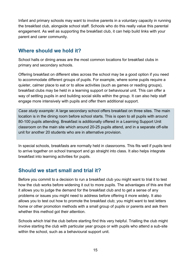Infant and primary schools may want to involve parents in a voluntary capacity in running the breakfast club, alongside school staff. Schools who do this really value this parental engagement. As well as supporting the breakfast club, it can help build links with your parent and carer community.

# <span id="page-14-0"></span>**Where should we hold it?**

School halls or dining areas are the most common locations for breakfast clubs in primary and secondary schools.

Offering breakfast on different sites across the school may be a good option if you need to accommodate different groups of pupils. For example, where some pupils require a quieter, calmer place to eat or to allow activities (such as games or reading groups), breakfast clubs may be held in a learning support or behavioural unit. This can offer a way of settling pupils in and building social skills within the group. It can also help staff engage more intensively with pupils and offer them additional support.

*Case study example:* A large secondary school offers breakfast on three sites. The main location is in the dining room before school starts. This is open to all pupils with around 80-100 pupils attending. Breakfast is additionally offered in a Learning Support Unit classroom on the main site which around 20-25 pupils attend, and in a separate off-site unit for another 20 students who are in alternative provision.

In special schools, breakfasts are normally held in classrooms. This fits well if pupils tend to arrive together on school transport and go straight into class. It also helps integrate breakfast into learning activities for pupils.

## <span id="page-14-1"></span>**Should we start small and trial it?**

Before you commit to a decision to run a breakfast club you might want to trial it to test how the club works before widening it out to more pupils. The advantages of this are that it allows you to judge the demand for the breakfast club and to get a sense of any problems or issues you might need to address before offering it more widely. It also allows you to test out how to promote the breakfast club; you might want to test letters home or other promotion methods with a small group of pupils or parents and ask them whether this method got their attention.

Schools which trial the club before starting find this very helpful. Trialling the club might involve starting the club with particular year groups or with pupils who attend a sub-site within the school, such as a behavioural support unit.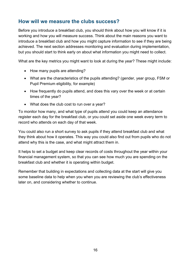# <span id="page-15-0"></span>**How will we measure the clubs success?**

Before you introduce a breakfast club, you should think about how you will know if it is working and how you will measure success. Think about the main reasons you want to introduce a breakfast club and how you might capture information to see if they are being achieved. The next section addresses monitoring and evaluation during implementation, but you should start to think early on about what information you might need to collect.

What are the key metrics you might want to look at during the year? These might include:

- How many pupils are attending?
- What are the characteristics of the pupils attending? (gender, year group, FSM or Pupil Premium eligibility, for example)
- How frequently do pupils attend, and does this vary over the week or at certain times of the year?
- What does the club cost to run over a year?

To monitor how many, and what type of pupils attend you could keep an attendance register each day for the breakfast club, or you could set aside one week every term to record who attends on each day of that week.

You could also run a short survey to ask pupils if they attend breakfast club and what they think about how it operates. This way you could also find out from pupils who do not attend why this is the case, and what might attract them in.

It helps to set a budget and keep clear records of costs throughout the year within your financial management system, so that you can see how much you are spending on the breakfast club and whether it is operating within budget.

Remember that building in expectations and collecting data at the start will give you some baseline data to help when you when you are reviewing the club's effectiveness later on, and considering whether to continue.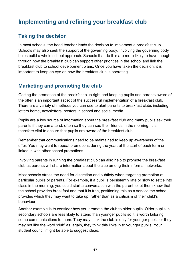# <span id="page-16-0"></span>**Implementing and refining your breakfast club**

# <span id="page-16-1"></span>**Taking the decision**

In most schools, the head teacher leads the decision to implement a breakfast club. Schools may also seek the support of the governing body. Involving the governing body helps build a whole school approach. Schools that do this are more likely to have thought through how the breakfast club can support other priorities in the school and link the breakfast club to school development plans. Once you have taken the decision, it is important to keep an eye on how the breakfast club is operating.

# <span id="page-16-2"></span>**Marketing and promoting the club**

Getting the promotion of the breakfast club right and keeping pupils and parents aware of the offer is an important aspect of the successful implementation of a breakfast club. There are a variety of methods you can use to alert parents to breakfast clubs including letters home, newsletters, posters in school and social media.

Pupils are a key source of information about the breakfast club and many pupils ask their parents if they can attend, often so they can see their friends in the morning. It is therefore vital to ensure that pupils are aware of the breakfast club.

Remember that communications need to be maintained to keep up awareness of the offer. You may want to repeat promotions during the year, at the start of each term or linked in with other school promotions.

Involving parents in running the breakfast club can also help to promote the breakfast club as parents will share information about the club among their informal networks.

Most schools stress the need for discretion and subtlety when targeting promotion at particular pupils or parents. For example, if a pupil is persistently late or slow to settle into class in the morning, you could start a conversation with the parent to let them know that the school provides breakfast and that it is free, positioning this as a service the school provides which they may want to take up, rather than as a criticism of their child's behaviour.

Another example is to consider how you promote the club to older pupils. Older pupils in secondary schools are less likely to attend than younger pupils so it is worth tailoring some communications to them. They may think the club is only for younger pupils or they may not like the word 'club' as, again, they think this links in to younger pupils. Your student council might be able to suggest ideas.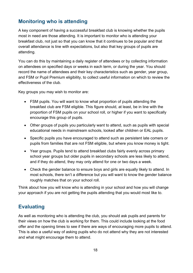# <span id="page-17-0"></span>**Monitoring who is attending**

A key component of having a successful breakfast club is knowing whether the pupils most in need are those attending. It is important to monitor who is attending your breakfast club, not just so that you can know that it continues to be popular and that overall attendance is line with expectations, but also that key groups of pupils are attending.

You can do this by maintaining a daily register of attendees or by collecting information on attendees on specified days or weeks in each term, or during the year. You should record the name of attendees and their key characteristics such as gender, year group, and FSM or Pupil Premium eligibility, to collect useful information on which to review the effectiveness of the club.

Key groups you may wish to monitor are:

- FSM pupils. You will want to know what proportion of pupils attending the breakfast club are FSM eligible. This figure should, at least, be in line with the proportion of FSM pupils on your school roll, or higher if you want to specifically encourage this group of pupils.
- Other groups of pupils you particularly want to attend, such as pupils with special educational needs in mainstream schools, looked after children or EAL pupils.
- Specific pupils you have encouraged to attend such as persistent late comers or pupils from families that are not FSM eligible, but where you know money is tight.
- Year groups. Pupils tend to attend breakfast clubs fairly evenly across primary school year groups but older pupils in secondary schools are less likely to attend, and if they do attend, they may only attend for one or two days a week.
- Check the gender balance to ensure boys and girls are equally likely to attend. In most schools, there isn't a difference but you will want to know the gender balance roughly matches that on your school roll.

Think about how you will know who is attending in your school and how you will change your approach if you are not getting the pupils attending that you would most like to.

## <span id="page-17-1"></span>**Evaluating**

As well as monitoring who is attending the club, you should ask pupils and parents for their views on how the club is working for them. This could include looking at the food offer and the opening times to see if there are ways of encouraging more pupils to attend. This is also a useful way of asking pupils who do not attend why they are not interested and what might encourage them to attend.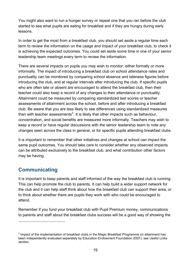You might also want to run a hunger survey or repeat one that you ran before the club started to see what pupils are eating for breakfast and if they are hungry during early lessons.

In order to get the most from a breakfast club, you should set aside a regular time each term to review the information on the usage and impact of your breakfast club, to check it is achieving the expected outcomes. You could set aside some time in one of your senior leadership team meetings every term to review the information.

There are several impacts on pupils you may wish to monitor, either formally or more informally. The impact of introducing a breakfast club on school attendance rates and punctuality can be monitored by comparing school absence and lateness figures before introducing the club, and at regular intervals after introducing the club. If specific pupils who are often late or absent are encouraged to attend the breakfast club, then their teacher could also keep a record of any changes to their attendance or punctuality. Attainment could be measured by comparing standardized test scores or teacher assessments of attainment across the school, before and after introducing a breakfast club. Be aware that you are less likely to see differences using standardized measures than with teacher assessments<sup>[2](#page-9-2)</sup>. It is likely that other impacts such as behaviour, concentration, and social benefits are measured more informally. Teachers may wish to keep a record or have regular discussions with the senior leadership team to note any changes seen across the class in general, or for specific pupils attending breakfast clubs.

It is important to remember that other initiatives and changes at school can impact the same pupil outcomes. You should take care to consider whether any observed impacts can be attributed exclusively to the breakfast club, and what contribution other factors may be having.

## <span id="page-18-0"></span>**Communicating**

 $\overline{a}$ 

It is important to keep parents and staff informed of the way the breakfast club is running. This can help promote the club to parents. It can help build a wider support network for the club and it can help staff think about how the breakfast club can support their area, or to think about whether there are pupils they work with who could be encouraged to attend.

Remember if you fund your breakfast club with Pupil Premium money, communications to parents and staff about the breakfast clubs success will be a good way of showing the

<sup>&</sup>lt;sup>2</sup> Impact of the implementation of breakfast clubs in the Magic Breakfast Programme on attainment has been independently evaluated separately by Education Endowment Foundation (EEF); see Useful Links section.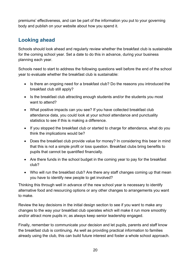premiums' effectiveness, and can be part of the information you put to your governing body and publish on your website about how you spend it.

# <span id="page-19-0"></span>**Looking ahead**

Schools should look ahead and regularly review whether the breakfast club is sustainable for the coming school year. Set a date to do this in advance, during your business planning each year.

Schools need to start to address the following questions well before the end of the school year to evaluate whether the breakfast club is sustainable:

- Is there an ongoing need for a breakfast club? Do the reasons you introduced the breakfast club still apply?
- Is the breakfast club attracting enough students and/or the students you most want to attend?
- What positive impacts can you see? If you have collected breakfast club attendance data, you could look at your school attendance and punctuality statistics to see if this is making a difference.
- If you stopped the breakfast club or started to charge for attendance, what do you think the implications would be?
- Does the breakfast club provide value for money? In considering this bear in mind that this is not a simple profit or loss question. Breakfast clubs bring benefits to pupils that cannot be quantified financially.
- Are there funds in the school budget in the coming year to pay for the breakfast club?
- Who will run the breakfast club? Are there any staff changes coming up that mean you have to identify new people to get involved?

Thinking this through well in advance of the new school year is necessary to identify alternative food and resourcing options or any other changes to arrangements you want to make.

Review the key decisions in the initial design section to see if you want to make any changes to the way your breakfast club operates which will make it run more smoothly and/or attract more pupils in; as always keep senior leadership engaged.

Finally, remember to communicate your decision and let pupils, parents and staff know the breakfast club is continuing. As well as providing practical information to families already using the club, this can build future interest and foster a whole school approach.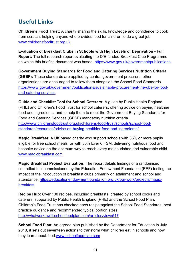# <span id="page-20-0"></span>**Useful Links**

**Children's Food Trust:** A charity sharing the skills, knowledge and confidence to cook from scratch, helping anyone who provides food for children to do a great job. [www.childrensfoodtrust.org.uk](http://www.childrensfoodtrust.org.uk/)

**Evaluation of Breakfast Clubs in Schools with High Levels of Deprivation - Full Report:** The full research report evaluating the DfE funded Breakfast Club Programme on which this briefing document was based. https://www.gov.uk/government/publications

**Government Buying Standards for Food and Catering Services Nutrition Criteria (GBSF):** These standards are applied by central government procurers; other organizations are encouraged to follow them alongside the School Food Standards. [https://www.gov.uk/government/publications/sustainable-procurement-the-gbs-for-food](https://www.gov.uk/government/publications/sustainable-procurement-the-gbs-for-food-and-catering-services)[and-catering-services](https://www.gov.uk/government/publications/sustainable-procurement-the-gbs-for-food-and-catering-services)

**Guide and Checklist Tool for School Caterers:** A guide by Public Health England (PHE) and Children's Food Trust for school caterers; offering advice on buying healthier food and ingredients, and to help them to meet the Government Buying Standards for Food and Catering Services (GBSF) mandatory nutrition criteria. [http://www.childrensfoodtrust.org.uk/childrens-food-trust/schools/school-food](http://www.childrensfoodtrust.org.uk/childrens-food-trust/schools/school-food-standards/resources/advice-on-buying-healthier-food-and-ingredients/)[standards/resources/advice-on-buying-healthier-food-and-ingredients/](http://www.childrensfoodtrust.org.uk/childrens-food-trust/schools/school-food-standards/resources/advice-on-buying-healthier-food-and-ingredients/)

**Magic Breakfast:** A UK based charity who support schools with 35% or more pupils eligible for free school meals, or with 50% Ever 6 FSM, delivering nutritious food and bespoke advice on the optimum way to reach every malnourished and vulnerable child. [www.magicbreakfast.com](https://www.magicbreakfast.com/Default.aspx)

**Magic Breakfast Project Evaluation:** The report details findings of a randomised controlled trial commissioned by the Education Endowment Foundation (EEF) testing the impact of the introduction of breakfast clubs primarily on attainment and school and attendance. [https://educationendowmentfoundation.org.uk/our-work/projects/magic](https://educationendowmentfoundation.org.uk/our-work/projects/magic-breakfast)[breakfast](https://educationendowmentfoundation.org.uk/our-work/projects/magic-breakfast) 

**Recipe Hub:** Over 100 recipes, including breakfasts, created by school cooks and caterers, supported by Public Health England (PHE) and the School Food Plan. Children's Food Trust has checked each recipe against the School Food Standards, best practice guidance and recommended typical portion sizes. <http://whatworkswell.schoolfoodplan.com/articles/view/517>

**School Food Plan:** An agreed plan published by the Department for Education in July 2013, it sets out seventeen actions to transform what children eat in schools and how they learn about food[.www.schoolfoodplan.com](http://www.schoolfoodplan.com/)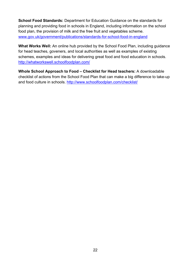**School Food Standards:** Department for Education Guidance on the standards for planning and providing food in schools in England, including information on the school food plan, the provision of milk and the free fruit and vegetables scheme. [www.gov.uk/government/publications/standards-for-school-food-in-england](https://www.gov.uk/government/publications/standards-for-school-food-in-england)

**What Works Well:** An online hub provided by the School Food Plan, including guidance for head teaches, goveners, and local authorities as well as examples of existing schemes, examples and ideas for delivering great food and food education in schools. <http://whatworkswell.schoolfoodplan.com/>

**Whole School Approach to Food – Checklist for Head teachers:** A downloadable checklist of actions from the School Food Plan that can make a big difference to take-up and food culture in schools.<http://www.schoolfoodplan.com/checklist/>